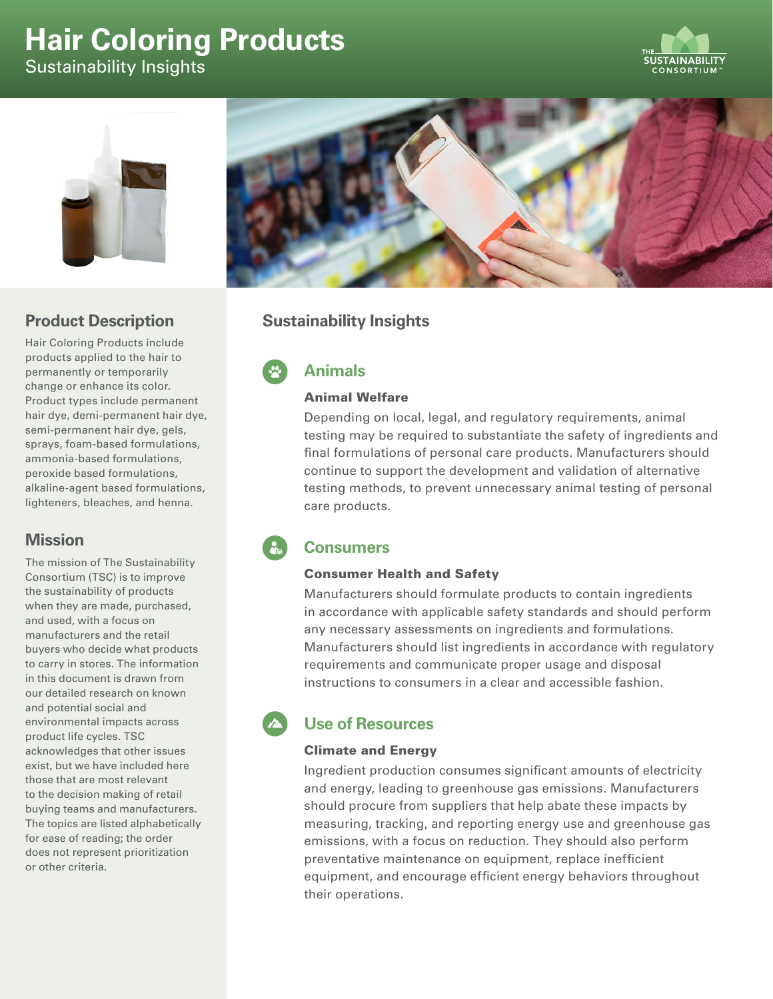# **Hair Coloring Products** Sustainability Insights





## **Product Description**

Hair Coloring Products include products applied to the hair to permanently or temporarily change or enhance its color. Product types include permanent hair dye, demi-permanent hair dye, semi-permanent hair dye, gels, sprays, foam-based formulations, ammonia-based formulations, peroxide based formulations, alkaline-agent based formulations, lighteners, bleaches, and henna.

### **Mission**

The mission of The Sustainability Consortium (TSC) is to improve the sustainability of products when they are made, purchased, and used, with a focus on manufacturers and the retail buyers who decide what products to carry in stores. The information in this document is drawn from our detailed research on known and potential social and environmental impacts across product life cycles. TSC acknowledges that other issues exist, but we have included here those that are most relevant to the decision making of retail buying teams and manufacturers. The topics are listed alphabetically for ease of reading; the order does not represent prioritization or other criteria.



## **Sustainability Insights**

## **Animals**

### Animal Welfare

Depending on local, legal, and regulatory requirements, animal testing may be required to substantiate the safety of ingredients and final formulations of personal care products. Manufacturers should continue to support the development and validation of alternative testing methods, to prevent unnecessary animal testing of personal care products.

## **Consumers**

### Consumer Health and Safety

Manufacturers should formulate products to contain ingredients in accordance with applicable safety standards and should perform any necessary assessments on ingredients and formulations. Manufacturers should list ingredients in accordance with regulatory requirements and communicate proper usage and disposal instructions to consumers in a clear and accessible fashion.

## **Use of Resources**

### Climate and Energy

Ingredient production consumes significant amounts of electricity and energy, leading to greenhouse gas emissions. Manufacturers should procure from suppliers that help abate these impacts by measuring, tracking, and reporting energy use and greenhouse gas emissions, with a focus on reduction. They should also perform preventative maintenance on equipment, replace inefficient equipment, and encourage efficient energy behaviors throughout their operations.